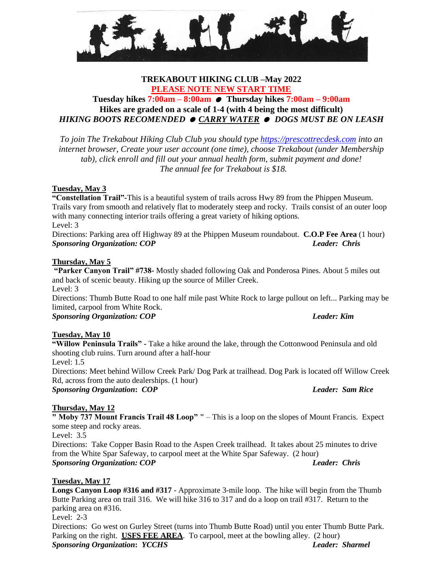**C** 

# **TREKABOUT HIKING CLUB –May 2022 PLEASE NOTE NEW START TIME**

# **Tuesday hikes 7:00am – 8:00am Thursday hikes 7:00am – 9:00am Hikes are graded on a scale of 1-4 (with 4 being the most difficult)** *HIKING BOOTS RECOMENDED CARRY WATER DOGS MUST BE ON LEASH*

*To join The Trekabout Hiking Club Club you should type [https://prescottrecdesk.com](https://prescottrecdesk.com/) into an internet browser, Create your user account (one time), choose Trekabout (under Membership tab), click enroll and fill out your annual health form, submit payment and done! The annual fee for Trekabout is \$18.*

# **Tuesday, May 3**

**"Constellation Trail"-**This is a beautiful system of trails across Hwy 89 from the Phippen Museum. Trails vary from smooth and relatively flat to moderately steep and rocky. Trails consist of an outer loop with many connecting interior trails offering a great variety of hiking options. Level: 3

Directions: Parking area off Highway 89 at the Phippen Museum roundabout. **C.O.P Fee Area** (1 hour) *Sponsoring Organization: COP**Leader: Chris*

### **Thursday, May 5**

**"Parker Canyon Trail" #738-** Mostly shaded following Oak and Ponderosa Pines. About 5 miles out and back of scenic beauty. Hiking up the source of Miller Creek. Level:  $3$ 

Directions: Thumb Butte Road to one half mile past White Rock to large pullout on left... Parking may be limited, carpool from White Rock.

*Sponsoring Organization: COP Leader: Kim*

# **Tuesday, May 10**

**"Willow Peninsula Trails" -** Take a hike around the lake, through the Cottonwood Peninsula and old shooting club ruins. Turn around after a half-hour Level: 1.5

Directions: Meet behind Willow Creek Park/ Dog Park at trailhead. Dog Park is located off Willow Creek Rd, across from the auto dealerships. (1 hour) *Sponsoring Organization***:** *COP**Leader: Sam Rice*

# **Thursday, May 12**

**" Moby 737 Mount Francis Trail 48 Loop" "** – This is a loop on the slopes of Mount Francis. Expect some steep and rocky areas. Level:  $3.\overline{5}$ 

Directions: Take Copper Basin Road to the Aspen Creek trailhead. It takes about 25 minutes to drive from the White Spar Safeway, to carpool meet at the White Spar Safeway. (2 hour) *Sponsoring Organization: COP**Leader: Chris*

### **Tuesday, May 17**

**Longs Canyon Loop #316 and #317** - Approximate 3-mile loop. The hike will begin from the Thumb Butte Parking area on trail 316. We will hike 316 to 317 and do a loop on trail #317. Return to the parking area on #316. Level: 2-3 Directions: Go west on Gurley Street (turns into Thumb Butte Road) until you enter Thumb Butte Park. Parking on the right. **USFS FEE AREA**. To carpool, meet at the bowling alley. (2 hour)

*Sponsoring Organization***:** *YCCHS**Leader: Sharmel*